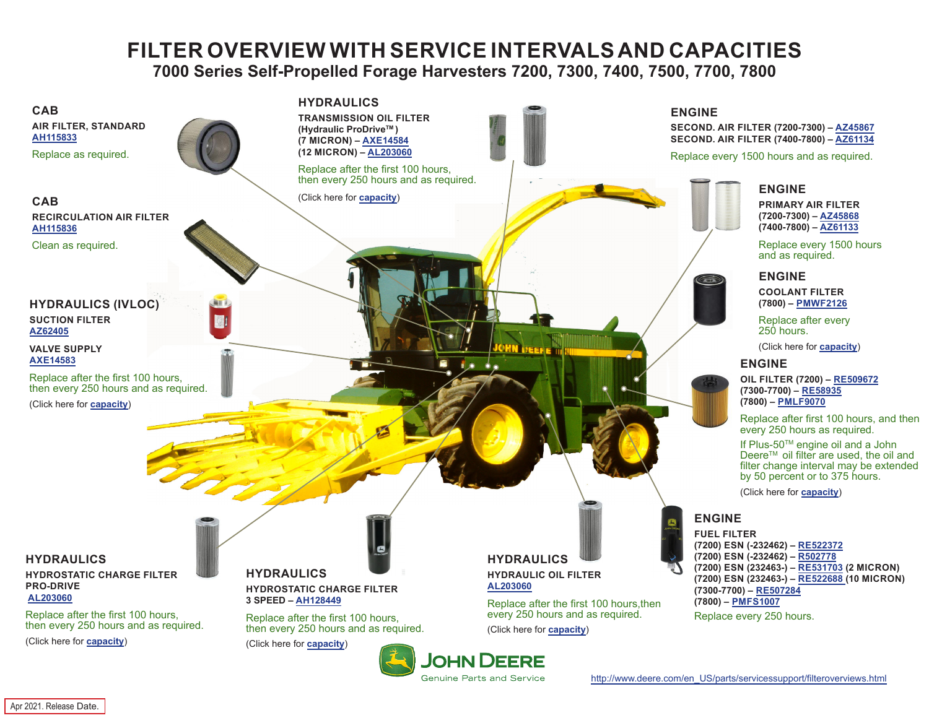# **FILTER OVERVIEW WITH SERVICE INTERVALS AND CAPACITIES 7000 Series Self-Propelled Forage Harvesters 7200, 7300, 7400, 7500, 7700, 7800**

<span id="page-0-0"></span>

**Genuine Parts and Service** 

Apr 2021. Release Date.

[http://www.deere.com/en\\_US/parts/servicessupport/filteroverviews.html](http://www.deere.com/en_US/parts/servicessupport/filteroverviews.html)